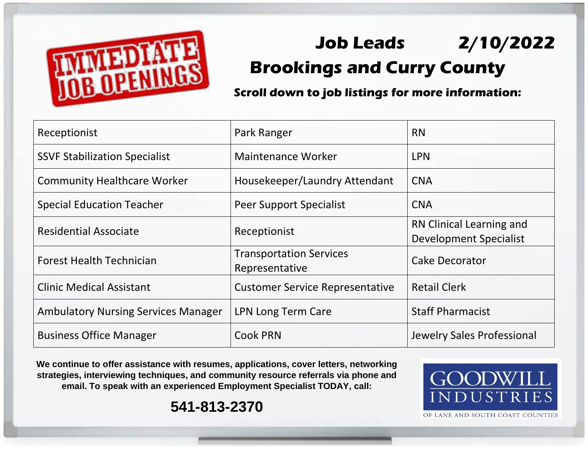

## **Job Leads 2/10/2022 Brookings and Curry County**

**Scroll down to job listings for more information:**

| Receptionist                               | Park Ranger                                      | <b>RN</b>                                                 |
|--------------------------------------------|--------------------------------------------------|-----------------------------------------------------------|
| <b>SSVF Stabilization Specialist</b>       | Maintenance Worker                               | <b>LPN</b>                                                |
| <b>Community Healthcare Worker</b>         | Housekeeper/Laundry Attendant                    | <b>CNA</b>                                                |
| <b>Special Education Teacher</b>           | Peer Support Specialist                          | <b>CNA</b>                                                |
| <b>Residential Associate</b>               | Receptionist                                     | RN Clinical Learning and<br><b>Development Specialist</b> |
| <b>Forest Health Technician</b>            | <b>Transportation Services</b><br>Representative | <b>Cake Decorator</b>                                     |
| <b>Clinic Medical Assistant</b>            | <b>Customer Service Representative</b>           | <b>Retail Clerk</b>                                       |
| <b>Ambulatory Nursing Services Manager</b> | LPN Long Term Care                               | <b>Staff Pharmacist</b>                                   |
| <b>Business Office Manager</b>             | <b>Cook PRN</b>                                  | Jewelry Sales Professional                                |

**We continue to offer assistance with resumes, applications, cover letters, networking strategies, interviewing techniques, and community resource referrals via phone and email. To speak with an experienced Employment Specialist TODAY, call:** 



**541-813-2370**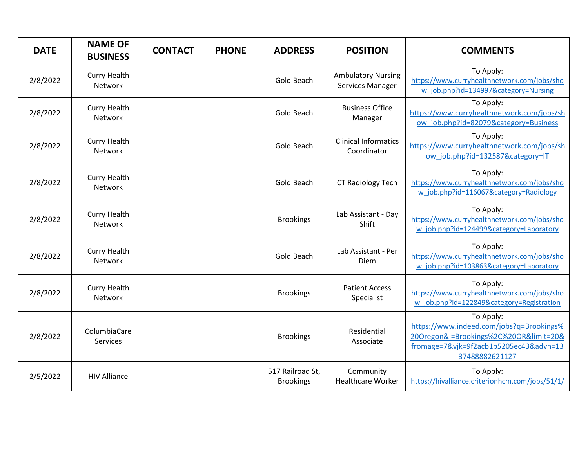| <b>DATE</b> | <b>NAME OF</b><br><b>BUSINESS</b>     | <b>CONTACT</b> | <b>PHONE</b> | <b>ADDRESS</b>                       | <b>POSITION</b>                               | <b>COMMENTS</b>                                                                                                                                             |
|-------------|---------------------------------------|----------------|--------------|--------------------------------------|-----------------------------------------------|-------------------------------------------------------------------------------------------------------------------------------------------------------------|
| 2/8/2022    | <b>Curry Health</b><br><b>Network</b> |                |              | Gold Beach                           | <b>Ambulatory Nursing</b><br>Services Manager | To Apply:<br>https://www.curryhealthnetwork.com/jobs/sho<br>w job.php?id=134997&category=Nursing                                                            |
| 2/8/2022    | <b>Curry Health</b><br>Network        |                |              | Gold Beach                           | <b>Business Office</b><br>Manager             | To Apply:<br>https://www.curryhealthnetwork.com/jobs/sh<br>ow job.php?id=82079&category=Business                                                            |
| 2/8/2022    | <b>Curry Health</b><br>Network        |                |              | Gold Beach                           | <b>Clinical Informatics</b><br>Coordinator    | To Apply:<br>https://www.curryhealthnetwork.com/jobs/sh<br>ow job.php?id=132587&category=IT                                                                 |
| 2/8/2022    | <b>Curry Health</b><br><b>Network</b> |                |              | Gold Beach                           | CT Radiology Tech                             | To Apply:<br>https://www.curryhealthnetwork.com/jobs/sho<br>w job.php?id=116067&category=Radiology                                                          |
| 2/8/2022    | <b>Curry Health</b><br><b>Network</b> |                |              | <b>Brookings</b>                     | Lab Assistant - Day<br>Shift                  | To Apply:<br>https://www.curryhealthnetwork.com/jobs/sho<br>w job.php?id=124499&category=Laboratory                                                         |
| 2/8/2022    | <b>Curry Health</b><br>Network        |                |              | Gold Beach                           | Lab Assistant - Per<br>Diem                   | To Apply:<br>https://www.curryhealthnetwork.com/jobs/sho<br>w job.php?id=103863&category=Laboratory                                                         |
| 2/8/2022    | <b>Curry Health</b><br><b>Network</b> |                |              | <b>Brookings</b>                     | <b>Patient Access</b><br>Specialist           | To Apply:<br>https://www.curryhealthnetwork.com/jobs/sho<br>w job.php?id=122849&category=Registration                                                       |
| 2/8/2022    | ColumbiaCare<br>Services              |                |              | <b>Brookings</b>                     | Residential<br>Associate                      | To Apply:<br>https://www.indeed.com/jobs?q=Brookings%<br>20Oregon&l=Brookings%2C%20OR&limit=20&<br>fromage=7&vjk=9f2acb1b5205ec43&advn=13<br>37488882621127 |
| 2/5/2022    | <b>HIV Alliance</b>                   |                |              | 517 Railroad St,<br><b>Brookings</b> | Community<br><b>Healthcare Worker</b>         | To Apply:<br>https://hivalliance.criterionhcm.com/jobs/51/1/                                                                                                |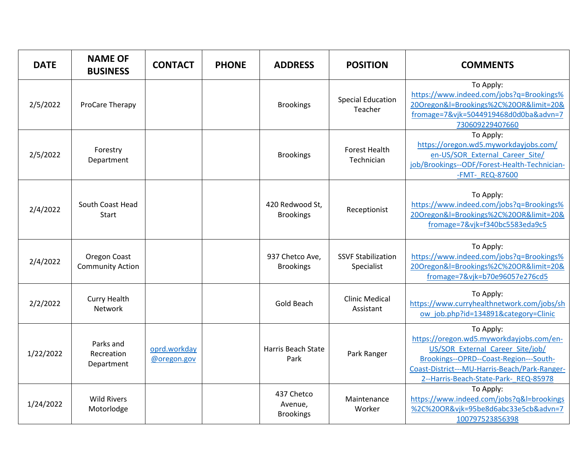| <b>DATE</b> | <b>NAME OF</b><br><b>BUSINESS</b>       | <b>CONTACT</b>              | <b>PHONE</b> | <b>ADDRESS</b>                            | <b>POSITION</b>                         | <b>COMMENTS</b>                                                                                                                                                                                                               |
|-------------|-----------------------------------------|-----------------------------|--------------|-------------------------------------------|-----------------------------------------|-------------------------------------------------------------------------------------------------------------------------------------------------------------------------------------------------------------------------------|
| 2/5/2022    | ProCare Therapy                         |                             |              | <b>Brookings</b>                          | <b>Special Education</b><br>Teacher     | To Apply:<br>https://www.indeed.com/jobs?q=Brookings%<br>20Oregon&l=Brookings%2C%20OR&limit=20&<br>fromage=7&vjk=5044919468d0d0ba&advn=7<br>730609229407660                                                                   |
| 2/5/2022    | Forestry<br>Department                  |                             |              | <b>Brookings</b>                          | <b>Forest Health</b><br>Technician      | To Apply:<br>https://oregon.wd5.myworkdayjobs.com/<br>en-US/SOR External Career Site/<br>job/Brookings--ODF/Forest-Health-Technician-<br>-FMT- REQ-87600                                                                      |
| 2/4/2022    | South Coast Head<br><b>Start</b>        |                             |              | 420 Redwood St,<br><b>Brookings</b>       | Receptionist                            | To Apply:<br>https://www.indeed.com/jobs?q=Brookings%<br>20Oregon&l=Brookings%2C%20OR&limit=20&<br>fromage=7&vjk=f340bc5583eda9c5                                                                                             |
| 2/4/2022    | Oregon Coast<br><b>Community Action</b> |                             |              | 937 Chetco Ave,<br><b>Brookings</b>       | <b>SSVF Stabilization</b><br>Specialist | To Apply:<br>https://www.indeed.com/jobs?q=Brookings%<br>20Oregon&l=Brookings%2C%20OR&limit=20&<br>fromage=7&vjk=b70e96057e276cd5                                                                                             |
| 2/2/2022    | <b>Curry Health</b><br>Network          |                             |              | Gold Beach                                | <b>Clinic Medical</b><br>Assistant      | To Apply:<br>https://www.curryhealthnetwork.com/jobs/sh<br>ow job.php?id=134891&category=Clinic                                                                                                                               |
| 1/22/2022   | Parks and<br>Recreation<br>Department   | oprd.workday<br>@oregon.gov |              | <b>Harris Beach State</b><br>Park         | Park Ranger                             | To Apply:<br>https://oregon.wd5.myworkdayjobs.com/en-<br>US/SOR External Career Site/job/<br>Brookings--OPRD--Coast-Region---South-<br>Coast-District---MU-Harris-Beach/Park-Ranger-<br>2--Harris-Beach-State-Park- REQ-85978 |
| 1/24/2022   | <b>Wild Rivers</b><br>Motorlodge        |                             |              | 437 Chetco<br>Avenue,<br><b>Brookings</b> | Maintenance<br>Worker                   | To Apply:<br>https://www.indeed.com/jobs?q&l=brookings<br>%2C%20OR&vjk=95be8d6abc33e5cb&advn=7<br>100797523856398                                                                                                             |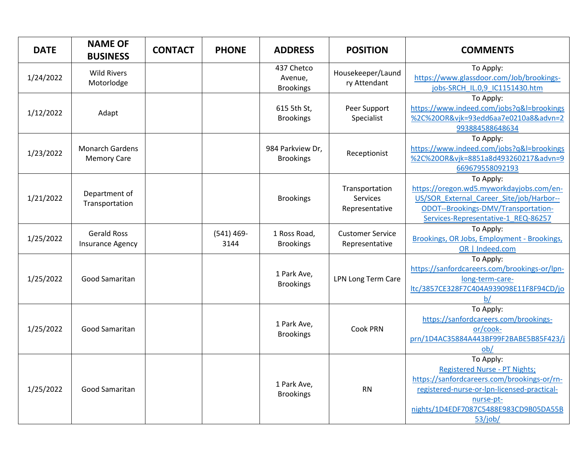| <b>DATE</b> | <b>NAME OF</b><br><b>BUSINESS</b>             | <b>CONTACT</b> | <b>PHONE</b>          | <b>ADDRESS</b>                            | <b>POSITION</b>                              | <b>COMMENTS</b>                                                                                                                                                                                                  |
|-------------|-----------------------------------------------|----------------|-----------------------|-------------------------------------------|----------------------------------------------|------------------------------------------------------------------------------------------------------------------------------------------------------------------------------------------------------------------|
| 1/24/2022   | <b>Wild Rivers</b><br>Motorlodge              |                |                       | 437 Chetco<br>Avenue,<br><b>Brookings</b> | Housekeeper/Laund<br>ry Attendant            | To Apply:<br>https://www.glassdoor.com/Job/brookings-<br>jobs-SRCH IL.0,9 IC1151430.htm                                                                                                                          |
| 1/12/2022   | Adapt                                         |                |                       | 615 5th St,<br><b>Brookings</b>           | Peer Support<br>Specialist                   | To Apply:<br>https://www.indeed.com/jobs?q&l=brookings<br>%2C%20OR&vjk=93edd6aa7e0210a8&advn=2<br>993884588648634                                                                                                |
| 1/23/2022   | <b>Monarch Gardens</b><br><b>Memory Care</b>  |                |                       | 984 Parkview Dr,<br><b>Brookings</b>      | Receptionist                                 | To Apply:<br>https://www.indeed.com/jobs?q&l=brookings<br>%2C%20OR&vjk=8851a8d493260217&advn=9<br>669679558092193                                                                                                |
| 1/21/2022   | Department of<br>Transportation               |                |                       | <b>Brookings</b>                          | Transportation<br>Services<br>Representative | To Apply:<br>https://oregon.wd5.myworkdayjobs.com/en-<br>US/SOR External Career Site/job/Harbor--<br>ODOT--Brookings-DMV/Transportation-<br>Services-Representative-1 REQ-86257                                  |
| 1/25/2022   | <b>Gerald Ross</b><br><b>Insurance Agency</b> |                | $(541) 469 -$<br>3144 | 1 Ross Road,<br><b>Brookings</b>          | <b>Customer Service</b><br>Representative    | To Apply:<br>Brookings, OR Jobs, Employment - Brookings,<br>OR   Indeed.com                                                                                                                                      |
| 1/25/2022   | Good Samaritan                                |                |                       | 1 Park Ave,<br><b>Brookings</b>           | <b>LPN Long Term Care</b>                    | To Apply:<br>https://sanfordcareers.com/brookings-or/lpn-<br>long-term-care-<br>ltc/3857CE328F7C404A939098E11F8F94CD/jo<br>b/                                                                                    |
| 1/25/2022   | Good Samaritan                                |                |                       | 1 Park Ave,<br><b>Brookings</b>           | <b>Cook PRN</b>                              | To Apply:<br>https://sanfordcareers.com/brookings-<br>or/cook-<br>prn/1D4AC35884A443BF99F2BABE5B85F423/j<br>ob/                                                                                                  |
| 1/25/2022   | Good Samaritan                                |                |                       | 1 Park Ave,<br><b>Brookings</b>           | <b>RN</b>                                    | To Apply:<br><b>Registered Nurse - PT Nights;</b><br>https://sanfordcareers.com/brookings-or/rn-<br>registered-nurse-or-lpn-licensed-practical-<br>nurse-pt-<br>nights/1D4EDF7087C5488E983CD9B05DA55B<br>53/job/ |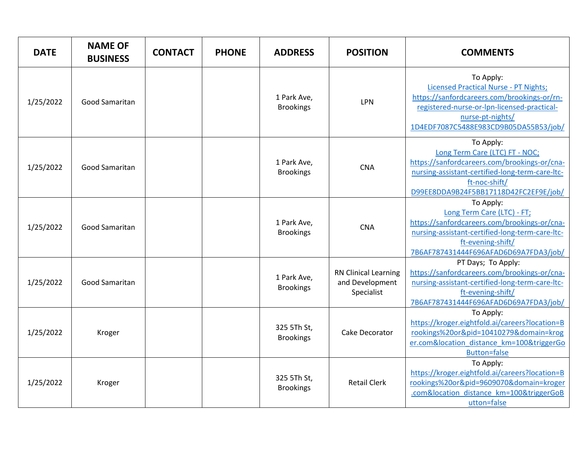| <b>DATE</b> | <b>NAME OF</b><br><b>BUSINESS</b> | <b>CONTACT</b> | <b>PHONE</b> | <b>ADDRESS</b>                  | <b>POSITION</b>                                              | <b>COMMENTS</b>                                                                                                                                                                                                      |
|-------------|-----------------------------------|----------------|--------------|---------------------------------|--------------------------------------------------------------|----------------------------------------------------------------------------------------------------------------------------------------------------------------------------------------------------------------------|
| 1/25/2022   | Good Samaritan                    |                |              | 1 Park Ave,<br><b>Brookings</b> | LPN                                                          | To Apply:<br><b>Licensed Practical Nurse - PT Nights;</b><br>https://sanfordcareers.com/brookings-or/rn-<br>registered-nurse-or-lpn-licensed-practical-<br>nurse-pt-nights/<br>1D4EDF7087C5488E983CD9B05DA55B53/job/ |
| 1/25/2022   | Good Samaritan                    |                |              | 1 Park Ave,<br><b>Brookings</b> | <b>CNA</b>                                                   | To Apply:<br>Long Term Care (LTC) FT - NOC;<br>https://sanfordcareers.com/brookings-or/cna-<br>nursing-assistant-certified-long-term-care-ltc-<br>ft-noc-shift/<br>D99EE8DDA9B24F5BB17118D42FC2EF9E/job/             |
| 1/25/2022   | Good Samaritan                    |                |              | 1 Park Ave,<br><b>Brookings</b> | <b>CNA</b>                                                   | To Apply:<br>Long Term Care (LTC) - FT;<br>https://sanfordcareers.com/brookings-or/cna-<br>nursing-assistant-certified-long-term-care-ltc-<br>ft-evening-shift/<br>7B6AF787431444F696AFAD6D69A7FDA3/job/             |
| 1/25/2022   | <b>Good Samaritan</b>             |                |              | 1 Park Ave,<br><b>Brookings</b> | <b>RN Clinical Learning</b><br>and Development<br>Specialist | PT Days; To Apply:<br>https://sanfordcareers.com/brookings-or/cna-<br>nursing-assistant-certified-long-term-care-ltc-<br>ft-evening-shift/<br>7B6AF787431444F696AFAD6D69A7FDA3/job/                                  |
| 1/25/2022   | Kroger                            |                |              | 325 5Th St,<br><b>Brookings</b> | Cake Decorator                                               | To Apply:<br>https://kroger.eightfold.ai/careers?location=B<br>rookings%20or&pid=10410279&domain=krog<br>er.com&location distance km=100&triggerGo<br><b>Button=false</b>                                            |
| 1/25/2022   | Kroger                            |                |              | 325 5Th St,<br><b>Brookings</b> | <b>Retail Clerk</b>                                          | To Apply:<br>https://kroger.eightfold.ai/careers?location=B<br>rookings%20or&pid=9609070&domain=kroger<br>.com&location distance km=100&triggerGoB<br>utton=false                                                    |